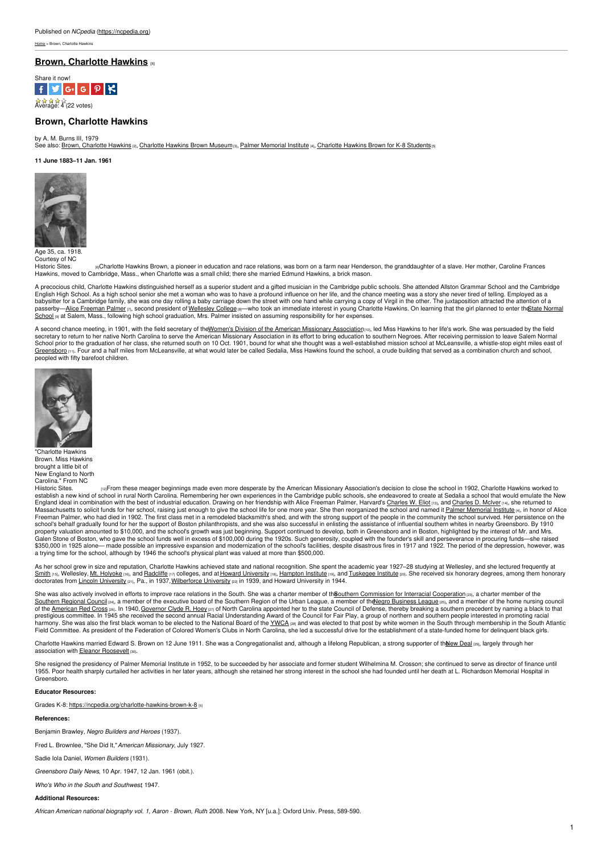# **Brown, [Charlotte](https://ncpedia.org/biography/brown-charlotte-hawkins0) Hawkins [1]**



# **Brown, Charlotte Hawkins**

by A. M. Burns III, 1979 See also: Brown, [Charlotte](https://ncpedia.org/charlotte-hawkins-brown-k-8) Hawkins <sub>[2]</sub>, Charlotte Hawkins Brown Museum<sub>[3]</sub>, Palmer [Memorial](https://ncpedia.org/palmer-memorial-institute) Institute [4], Charlotte Hawkins Brown for K-8 Students [5]

#### **11 June 1883–11 Jan. 1961**



Age 35, ca. 1918. Courtesy of NC

[Historic](http://www.nchistoricsites.org/chb/main.htm) Sites. ‱Charlotte Hawkins Brown, a pioneer in education and race relations, was born on a farm near Henderson, the granddaughter of a slave. Her mother, Caroline Frances<br>Hawkins, moved to Cambridge, Mass., when Ch

A precocious child, Charlotte Hawkins distinguished herself as a superior student and a gifted musician in the Cambridge public schools. She attended Allston Grammar School and the Cambridge English High School. As a high school senior she met a woman who was to have a profound influence on her life, and the chance meeting was a story she never tired of telling. Employed as a babysitter for a Cambridge family, she was one day rolling a baby carriage down the street with one hand while carrying a copy of Virgil in the other. The juxtaposition attracted the attention of a passerby—<u>Alice [Freeman](http://repository.wellesley.edu/cgi/viewcontent.cgi?article=1003&context=wellesleyhistories) Palmer</u> ர, second president of <u>[Wellesley](http://www.wellesley.edu/) College</u> —who took an immediate interest in young Charlotte Hawkins. On learning that the girl planned to enter th<u>€tate Normal</u><br><u>School </u> at Salem, Mass

A second chance meeting, in 1901, with the field secretary of the Women's Division of the American Missionary [Association](http://northbysouth.kenyon.edu/1998/edu/charleston/ama.htm)<sub>[10]</sub>, led Miss Hawkins to her life's work. She was persuaded by the field secretary to return to her native North Carolina to serve the American Missionary Association in its effort to bring education to southern Negroes. After receiving permission to leave Salem Normal<br>School prior to the gradu [Greensboro](https://ncpedia.org/greensboro-0) [11]. Four and a half miles from McLeansville, at what would later be called Sedalia, Miss Hawkins found the school, a crude building that served as a combination church and school, peopled with fifty barefoot children.



"Charlotte Hawkins Brown. Miss Hawkins brought a little bit of New England to North<br>Carolina." From NC

raFrom these meager beginnings made even more desperate by the American Missionary Association's decision to close the school in 1902, Charlotte Hawkins worked to establish a new kind of school in rural North Carolina. Re England ideal in combination with the best of industrial education. Drawing on her friendship with Alice Freeman Palmer, Harvard's <u>[Charles](https://ncpedia.org/biography/mciver-charles-duncan) W. Eliot<sub>[19]</sub>, and Charles D. McIver<sub>[19]</sub>, she returned to<br>Massachusetts to soli</u> Freeman Palmer, who had died in 1902. The first class met in a remodeled blacksmith's shed, and with the strong support of the people in the community the school survived. Her persistence on the school's behalf gradually found for her the support of Boston philanthropists, and she was also successful in enlisting the assistance of influential southern whites in nearby Greensboro. By 1910<br>property valuation amounte a trying time for the school, although by 1946 the school's physical plant was valued at more than \$500,000.

As her school grew in size and reputation, Charlotte Hawkins achieved state and national recognition. She spent the academic year 1927-28 studying at Wellesley, and she lectured frequently at <u>[Smith](http://www.smith.edu/) ըն</u>, Wellesley, <u>Mt. [Holyoke](https://www.mtholyoke.edu/) ըն,</u> and <u>[Radcliffe](http://www.radcliffe.harvard.edu/)</u> ըդ colleges, and at <u>Howard [University](http://www.lincoln.edu/)</u> ըն, <u>[Hampton](http://www.vahistorical.org/civilrights/btw.htm) Institute</u> ըն, and <u>[Tuskegee](https://www.nps.gov/tuin/index.htm) Institute</u> ըն. She received six honorary degrees, among them honorary<br>doctorates f

She was also actively involved in efforts to improve race relations in the South. She was a charter member of the outhern [Commission](http://www.lib.unc.edu/mss/inv/n/North_Carolina_Commission_on_Interracial_Cooperation.html) for Interracial Cooperation [23], a charter member of the S<u>outhern Regional Councilpa,</u> a member of the executive board of the [Southern](http://www.southerncouncil.org/) Region of the Urban League, a member of th<u>eNegro [Business](https://ncpedia.org/national-negro-business-league) League pag,</u> and a member of the home nursing council<br>of the <u>[American](https://ncpedia.org/red-cross) Red Cross pap</u> prestigious committee. In 1945 she received the second annual Racial Understanding Award of the Council for Fair Play, a group of northern and southern people interested in promoting racial<br>harmony. She was also the first Field Committee. As president of the Federation of Colored Women's Clubs in North Carolina, she led a successful drive for the establishment of a state-funded home for delinquent black girls.

Charlotte Hawkins married Edward S. Brown on 12 June 1911. She was a Congregationalist and, although a lifelong Republican, a strong supporter of the New Deal [29], largely through her association with Eleanor [Roosevelt](https://www.whitehouse.gov/about/first-ladies/eleanorroosevelt) [30].

She resigned the presidency of Palmer Memorial Institute in 1952, to be succeeded by her associate and former student Wilhelmina M. Crosson; she continued to serve as director of finance until 1955. Poor health sharply curtailed her activities in her later years, although she retained her strong interest in the school she had founded until her death at L. Richardson Memorial Hospital in Greensboro.

### **Educator Resources:**

Grades K-8: <https://ncpedia.org/charlotte-hawkins-brown-k-8>  $55$ 

### **References:**

Benjamin Brawley, *Negro Builders and Heroes* (1937).

Fred L. Brownlee, "She Did It,"*American Missionary*, July 1927.

Sadie Iola Daniel, *Women Builders* (1931).

*Greensboro Daily News*, 10 Apr. 1947, 12 Jan. 1961 (obit.).

*Who's Who in the South and Southwest*, 1947.

### **Additional Resources:**

*African American national biography vol. 1, Aaron - Brown, Ruth*. 2008. New York, NY [u.a.]: Oxford Univ. Press, 589-590.